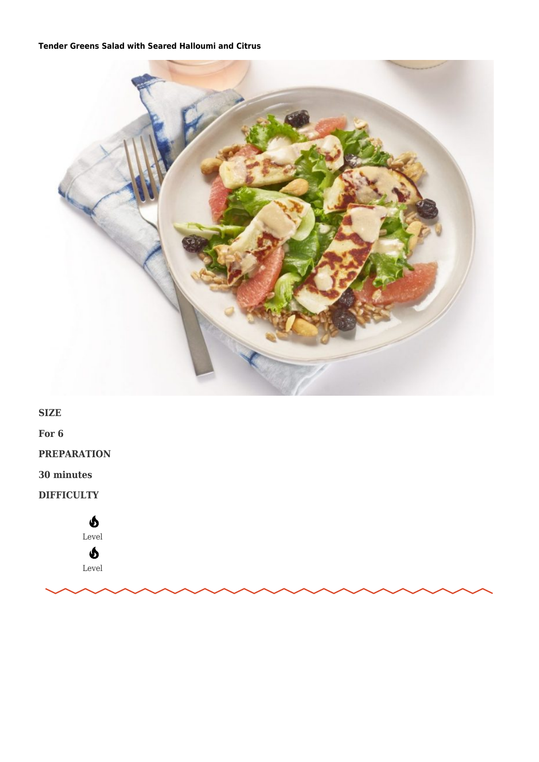## **Tender Greens Salad with Seared Halloumi and Citrus**



**SIZE** 

For  $6$ 

**PREPARATION** 

30 minutes

**DIFFICULTY** 

 $\mathbf{\Phi}$ Level  $\boldsymbol{\delta}$ Level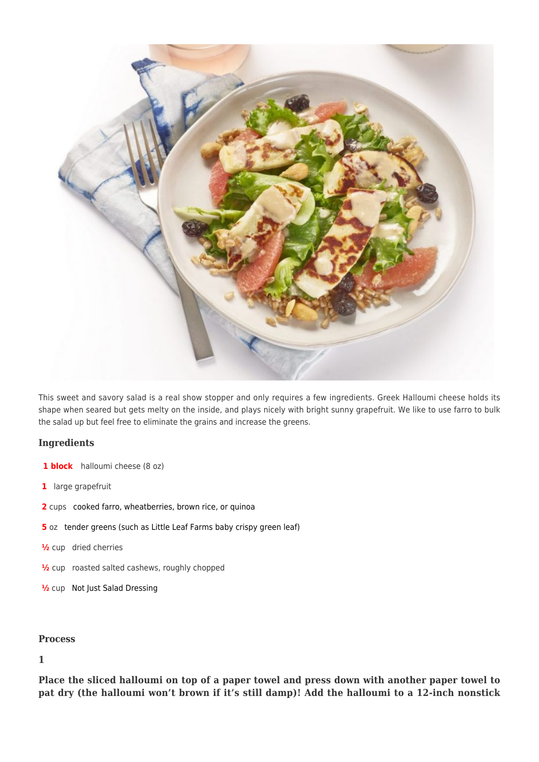

This sweet and savory salad is a real show stopper and only requires a few ingredients. Greek Halloumi cheese holds its shape when seared but gets melty on the inside, and plays nicely with bright sunny grapefruit. We like to use farro to bulk the salad up but feel free to eliminate the grains and increase the greens.

## **Ingredients**

- **1 block** halloumi cheese (8 oz)
- **1** large grapefruit
- **2** cups [cooked farro, wheatberries, brown rice, or quinoa](https://notjust.co/products/not-just-pasta-sauce?variant=31482920271934)
- **5** oz [tender greens \(such as Little Leaf Farms baby crispy green leaf\)](https://www.littleleaffarms.com/our-products/)
- **½** cup dried cherries
- **½** cup roasted salted cashews, roughly chopped
- **½** cup [Not Just Salad Dressing](https://notjust.co/products/not-just-salad-dressing-3-pack)

## **Process**

## **1**

**Place the sliced halloumi on top of a paper towel and press down with another paper towel to pat dry (the halloumi won't brown if it's still damp)! Add the halloumi to a 12-inch nonstick**